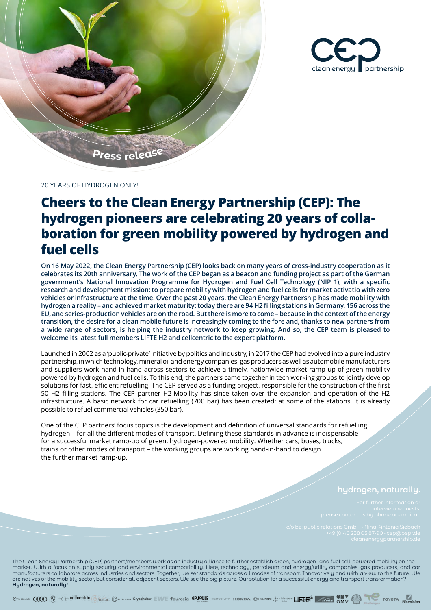



20 YEARS OF HYDROGEN ONLY!

## **Cheers to the Clean Energy Partnership (CEP): The hydrogen pioneers are celebrating 20 years of collaboration for green mobility powered by hydrogen and fuel cells**

**On 16 May 2022, the Clean Energy Partnership (CEP) looks back on many years of cross-industry cooperation as it celebrates its 20th anniversary. The work of the CEP began as a beacon and funding project as part of the German government's National Innovation Programme for Hydrogen and Fuel Cell Technology (NIP 1), with a specific research and development mission: to prepare mobility with hydrogen and fuel cells for market activatio with zero vehicles or infrastructure at the time. Over the past 20 years, the Clean Energy Partnership has made mobility with hydrogen a reality – and achieved market maturity: today there are 94 H2 filling stations in Germany, 156 across the EU, and series-production vehicles are on the road. But there is more to come – because in the context of the energy transition, the desire for a clean mobile future is increasingly coming to the fore and, thanks to new partners from a wide range of sectors, is helping the industry network to keep growing. And so, the CEP team is pleased to welcome its latest full members LIFTE H2 and cellcentric to the expert platform.** 

Launched in 2002 as a 'public-private' initiative by politics and industry, in 2017 the CEP had evolved into a pure industry partnership, in which technology, mineral oil and energy companies, gas producers as well as automobile manufacturers and suppliers work hand in hand across sectors to achieve a timely, nationwide market ramp-up of green mobility powered by hydrogen and fuel cells. To this end, the partners came together in tech working groups to jointly develop solutions for fast, efficient refuelling. The CEP served as a funding project, responsible for the construction of the first 50 H2 filling stations. The CEP partner H2-Mobility has since taken over the expansion and operation of the H2 infrastructure. A basic network for car refuelling (700 bar) has been created; at some of the stations, it is already possible to refuel commercial vehicles (350 bar).

One of the CEP partners' focus topics is the development and definition of universal standards for refuelling hydrogen – for all the different modes of transport. Defining these standards in advance is indispensable for a successful market ramp-up of green, hydrogen-powered mobility. Whether cars, buses, trucks, trains or other modes of transport – the working groups are working hand-in-hand to design the further market ramp-up.

## **hydrogen, naturally.**

The Clean Energy Partnership (CEP) partners/members work as an industry alliance to further establish green, hydrogen- and fuel cell-powered mobility on the market. With a focus on supply security and environmental compatibility. Here, technology, petroleum and energy/utility companies, gas producers, and car manufacturers collaborate across industries and sectors. Together, we set standards across all modes of transport. Innovatively and with a view to the future. We are natives of the mobility sector, but consider all adjacent sectors. We see the big picture. Our solution for a successful energy and transport transformation? **Hydrogen, naturally!**